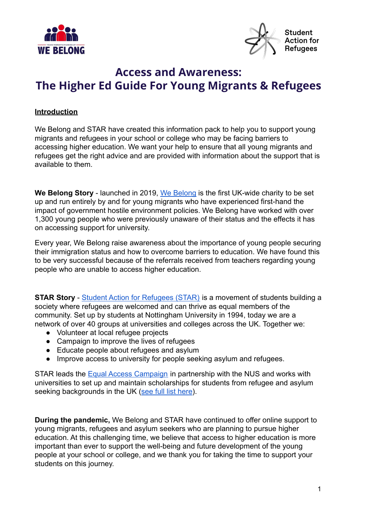



# **Access and Awareness: The Higher Ed Guide For Young Migrants & Refugees**

#### **Introduction**

We Belong and STAR have created this information pack to help you to support young migrants and refugees in your school or college who may be facing barriers to accessing higher education. We want your help to ensure that all young migrants and refugees get the right advice and are provided with information about the support that is available to them.

**We Belong Story** - launched in 2019, [We Belong](https://www.webelong.org.uk/about-us) is the first UK-wide charity to be set up and run entirely by and for young migrants who have experienced first-hand the impact of government hostile environment policies. We Belong have worked with over 1,300 young people who were previously unaware of their status and the effects it has on accessing support for university.

Every year, We Belong raise awareness about the importance of young people securing their immigration status and how to overcome barriers to education. We have found this to be very successful because of the referrals received from teachers regarding young people who are unable to access higher education.

**STAR Story** - [Student Action for Refugees \(STAR\)](http://www.star-network.org.uk/index.php/) is a movement of students building a society where refugees are welcomed and can thrive as equal members of the community. Set up by students at Nottingham University in 1994, today we are a network of over 40 groups at universities and colleges across the UK. Together we:

- Volunteer at local refugee projects
- Campaign to improve the lives of refugees
- Educate people about refugees and asylum
- Improve access to university for people seeking asylum and refugees.

STAR leads the [Equal Access Campaign](https://star-network.org.uk/take-action/equal-access/) in partnership with the NUS and works with universities to set up and maintain scholarships for students from refugee and asylum seeking backgrounds in the UK [\(see full list here](https://star-network.org.uk/access-to-university/scholarships/list/)).

**During the pandemic,** We Belong and STAR have continued to offer online support to young migrants, refugees and asylum seekers who are planning to pursue higher education. At this challenging time, we believe that access to higher education is more important than ever to support the well-being and future development of the young people at your school or college, and we thank you for taking the time to support your students on this journey.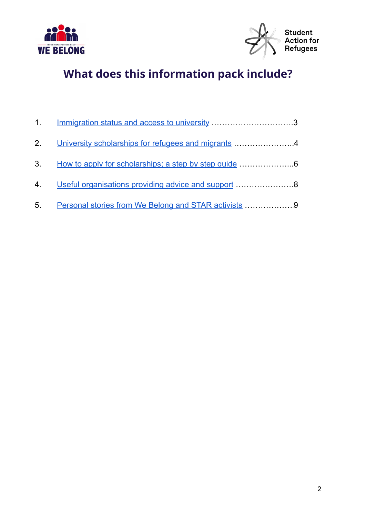



# **What does this information pack include?**

|    | 1. Immigration status and access to university 3            |  |
|----|-------------------------------------------------------------|--|
|    | 2. University scholarships for refugees and migrants 4      |  |
|    | 3. How to apply for scholarships; a step by step guide 6    |  |
|    | 4. Useful organisations providing advice and support 8      |  |
| 5. | <u>Personal stories from We Belong and STAR activists</u> 9 |  |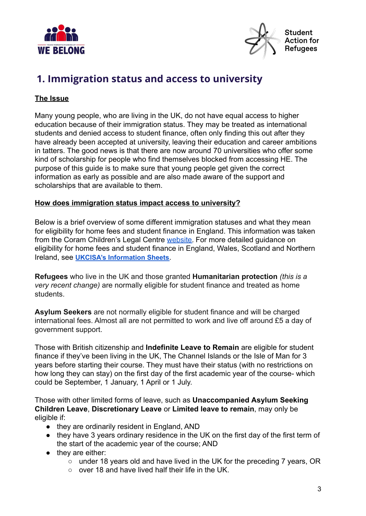



### <span id="page-2-0"></span>**1. Immigration status and access to university**

#### **The Issue**

Many young people, who are living in the UK, do not have equal access to higher education because of their immigration status. They may be treated as international students and denied access to student finance, often only finding this out after they have already been accepted at university, leaving their education and career ambitions in tatters. The good news is that there are now around 70 universities who offer some kind of scholarship for people who find themselves blocked from accessing HE. The purpose of this guide is to make sure that young people get given the correct information as early as possible and are also made aware of the support and scholarships that are available to them.

#### **How does immigration status impact access to university?**

Below is a brief overview of some different immigration statuses and what they mean for eligibility for home fees and student finance in England. This information was taken from the Coram Children's Legal Centre [website.](https://www.childrenslegalcentre.com/resources/higher-education-refugees-migrants/) For more detailed guidance on eligibility for home fees and student finance in England, Wales, Scotland and Northern Ireland, see **UKCISA's [Information](http://www.ukcisa.org.uk/International-Students/Fees--finance/Home-or-Overseas-fees/) Sheets**.

**Refugees** who live in the UK and those granted **Humanitarian protection** *(this is a very recent change)* are normally eligible for student finance and treated as home students.

**Asylum Seekers** are not normally eligible for student finance and will be charged international fees. Almost all are not permitted to work and live off around £5 a day of government support.

Those with British citizenship and **Indefinite Leave to Remain** are eligible for student finance if they've been living in the UK, The Channel Islands or the Isle of Man for 3 years before starting their course. They must have their status (with no restrictions on how long they can stay) on the first day of the first academic year of the course- which could be September, 1 January, 1 April or 1 July.

Those with other limited forms of leave, such as **Unaccompanied Asylum Seeking Children Leave**, **Discretionary Leave** or **Limited leave to remain**, may only be eligible if:

- they are ordinarily resident in England, AND
- they have 3 years ordinary residence in the UK on the first day of the first term of the start of the academic year of the course; AND
- they are either:
	- under 18 years old and have lived in the UK for the preceding 7 years, OR
	- over 18 and have lived half their life in the UK.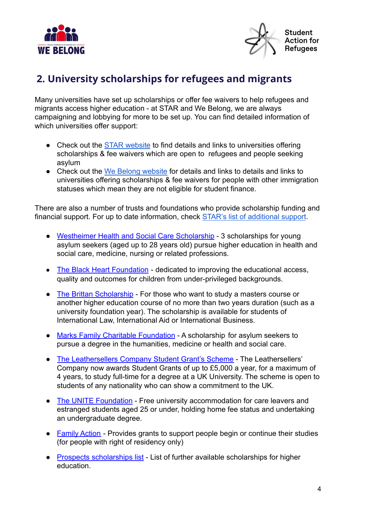



### <span id="page-3-0"></span>**2. University scholarships for refugees and migrants**

Many universities have set up scholarships or offer fee waivers to help refugees and migrants access higher education - at STAR and We Belong, we are always campaigning and lobbying for more to be set up. You can find detailed information of which universities offer support:

- Check out the [STAR website](https://star-network.org.uk/access-to-university/) to find details and links to universities offering scholarships & fee waivers which are open to refugees and people seeking asylum
- Check out the [We Belong website](https://www.webelong.org.uk/) for details and links to details and links to universities offering scholarships & fee waivers for people with other immigration statuses which mean they are not eligible for student finance.

There are also a number of trusts and foundations who provide scholarship funding and financial support. For up to date information, check **[STAR's list of additional support](https://star-network.org.uk/access-to-university/scholarships/additional-financial-support/)**.

- [Westheimer Health and Social Care Scholarship](http://swtrust.org.uk/westheimer-scholarship.html) 3 scholarships for young asylum seekers (aged up to 28 years old) pursue higher education in health and social care, medicine, nursing or related professions.
- [The Black Heart Foundation](https://blackheartfoundation.org/about-us/) dedicated to improving the educational access, quality and outcomes for children from under-privileged backgrounds.
- [The Brittan Scholarship](http://swtrust.org.uk/brittan-scholarship.html) For those who want to study a masters course or another higher education course of no more than two years duration (such as a university foundation year). The scholarship is available for students of International Law, International Aid or International Business.
- [Marks Family Charitable Foundation](https://www.refugeesupportnetwork.org/resources/11-university-scholarships-for-asylum-seekers) A scholarship for asylum seekers to pursue a degree in the humanities, medicine or health and social care.
- [The Leathersellers Company Student Grant's Scheme](https://leathersellers.co.uk/grants-for-students/) The Leathersellers' Company now awards Student Grants of up to £5,000 a year, for a maximum of 4 years, to study full-time for a degree at a UK University. The scheme is open to students of any nationality who can show a commitment to the UK.
- [The UNITE Foundation](http://www.unitefoundation.co.uk/get-a-scholarship/) Free university accommodation for care leavers and estranged students aged 25 or under, holding home fee status and undertaking an undergraduate degree.
- [Family Action](https://www.family-action.org.uk/what-we-do/grants/) Provides grants to support people begin or continue their studies (for people with right of residency only)
- [Prospects scholarships list](https://www.prospects.ac.uk/postgraduate-study/funding-postgraduate-study/scholarships-and-bursaries) List of further available scholarships for higher education.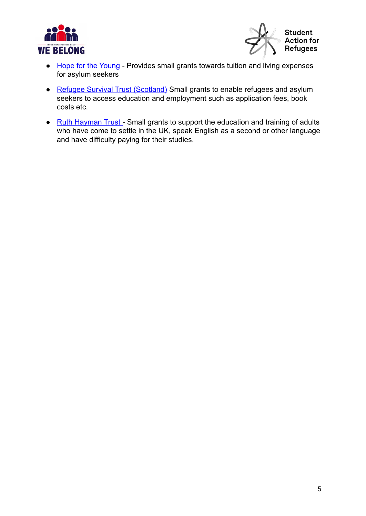



- [Hope for the Young](https://hopefortheyoung.org.uk/funding/) Provides small grants towards tuition and living expenses for asylum seekers
- [Refugee Survival Trust \(Scotland\)](https://www.rst.org.uk/integration/grants) Small grants to enable refugees and asylum seekers to access education and employment such as application fees, book costs etc.
- [Ruth Hayman Trust](http://www.ruthhaymantrust.org.uk/grants) Small grants to support the education and training of adults who have come to settle in the UK, speak English as a second or other language and have difficulty paying for their studies.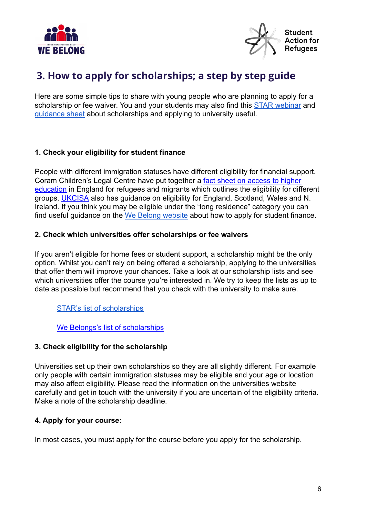



### <span id="page-5-0"></span>**3. How to apply for scholarships; a step by step guide**

Here are some simple tips to share with young people who are planning to apply for a scholarship or fee waiver. You and your students may also find this [STAR webinar](https://www.youtube.com/watch?v=jxDFqrMtnAY) and [guidance sheet](https://star-network.org.uk/wp-content/uploads/2021/06/STAR-Guidance-Applying-for-Scholarships.pdf) about scholarships and applying to university useful.

#### **1. Check your eligibility for student finance**

People with different immigration statuses have different eligibility for financial support. Coram Children's Legal Centre have put together a [fact sheet on access to higher](http://www.childrenslegalcentre.com/resources/higher-education-refugees-migrants/) [education](http://www.childrenslegalcentre.com/resources/higher-education-refugees-migrants/) in England for refugees and migrants which outlines the eligibility for different groups. [UKCISA](http://www.ukcisa.org.uk/Information--Advice/Fees-and-Money/Home-or-Overseas-fees-the-basics) also has guidance on eligibility for England, Scotland, Wales and N. Ireland. If you think you may be eligible under the "long residence" category you can find useful guidance on the [We Belong website](https://www.webelong.org.uk/how-to-apply) about how to apply for student finance.

#### **2. Check which universities offer scholarships or fee waivers**

If you aren't eligible for home fees or student support, a scholarship might be the only option. Whilst you can't rely on being offered a scholarship, applying to the universities that offer them will improve your chances. Take a look at our scholarship lists and see which universities offer the course you're interested in. We try to keep the lists as up to date as possible but recommend that you check with the university to make sure.

#### [STAR's list of scholarships](https://star-network.org.uk/access-to-university/scholarships/list/)

[We Belongs's list of scholarships](https://www.webelong.org.uk/scholarship-list)

#### **3. Check eligibility for the scholarship**

Universities set up their own scholarships so they are all slightly different. For example only people with certain immigration statuses may be eligible and your age or location may also affect eligibility. Please read the information on the universities website carefully and get in touch with the university if you are uncertain of the eligibility criteria. Make a note of the scholarship deadline.

#### **4. Apply for your course:**

In most cases, you must apply for the course before you apply for the scholarship.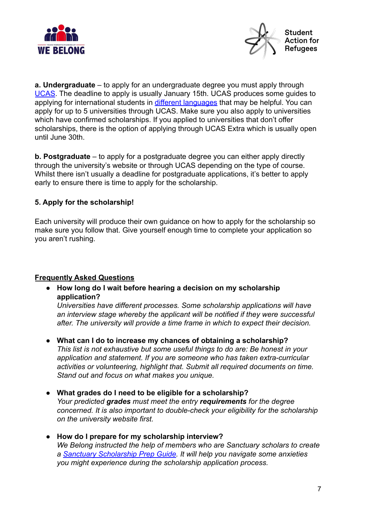



**a. Undergraduate** – to apply for an undergraduate degree you must apply through [UCAS](https://www.ucas.com/). The deadline to apply is usually January 15th. UCAS produces some guides to applying for international students in [different languages](https://www.ucas.com/ucas/undergraduate/getting-started/international-and-eu-students/international-guides) that may be helpful. You can apply for up to 5 universities through UCAS. Make sure you also apply to universities which have confirmed scholarships. If you applied to universities that don't offer scholarships, there is the option of applying through UCAS Extra which is usually open until June 30th.

**b. Postgraduate** – to apply for a postgraduate degree you can either apply directly through the university's website or through UCAS depending on the type of course. Whilst there isn't usually a deadline for postgraduate applications, it's better to apply early to ensure there is time to apply for the scholarship.

#### **5. Apply for the scholarship!**

Each university will produce their own guidance on how to apply for the scholarship so make sure you follow that. Give yourself enough time to complete your application so you aren't rushing.

#### **Frequently Asked Questions**

**● How long do I wait before hearing a decision on my scholarship application?**

*Universities have different processes. Some scholarship applications will have an interview stage whereby the applicant will be notified if they were successful after. The university will provide a time frame in which to expect their decision.*

- **● What can I do to increase my chances of obtaining a scholarship?** *This list is not exhaustive but some useful things to do are: Be honest in your application and statement. If you are someone who has taken extra-curricular activities or volunteering, highlight that. Submit all required documents on time. Stand out and focus on what makes you unique.*
- **● What grades do I need to be eligible for a scholarship?** *Your predicted grades must meet the entry requirements for the degree concerned. It is also important to double-check your eligibility for the scholarship on the university website first.*
- **● How do I prepare for my scholarship interview?** *We Belong instructed the help of members who are Sanctuary scholars to create a [Sanctuary Scholarship Prep Guide.](https://www.webelong.org.uk/testimonies/2020/4/28/we-belong-sanctuary-scholarship-prep-guide) It will help you navigate some anxieties you might experience during the scholarship application process.*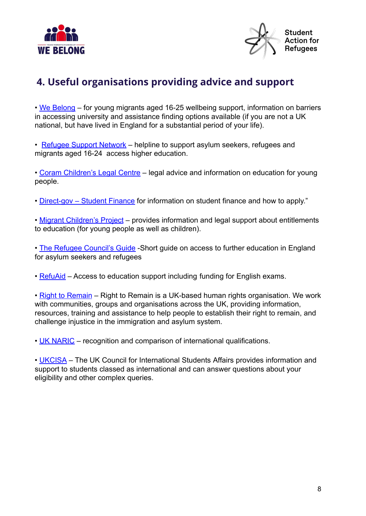



# <span id="page-7-0"></span>**4. Useful organisations providing advice and support**

• [We Belong](https://www.webelong.org.uk/about-us) – for young migrants aged 16-25 wellbeing support, information on barriers in accessing university and assistance finding options available (if you are not a UK national, but have lived in England for a substantial period of your life).

• [Refugee Support Network](https://www.refugeesupportnetwork.org/pages/2-our-services) – helpline to support asylum seekers, refugees and migrants aged 16-24 access higher education.

• [Coram Children's Legal Centre](http://www.childrenslegalcentre.com/get-legal-advice/education/) – legal advice and information on education for young people.

• [Direct-gov – Student Finance](https://www.gov.uk/education/funding-and-finance-for-students) for information on student finance and how to apply."

• [Migrant Children's Project](http://www.childrenslegalcentre.com/index.php?page=migrant_children) – provides information and legal support about entitlements to education (for young people as well as children).

• [The Refugee Council's Guide](https://www.refugeecouncil.org.uk/assets/0003/3529/Further_Education_September_2017.pdf) - Short guide on access to further education in England for asylum seekers and refugees

• [RefuAid](http://refuaid.org/language) – Access to education support including funding for English exams.

• [Right to Remain](https://righttoremain.org.uk/about/) – Right to Remain is a UK-based human rights organisation. We work with communities, groups and organisations across the UK, providing information, resources, training and assistance to help people to establish their right to remain, and challenge injustice in the immigration and asylum system.

• [UK NARIC](https://www.naric.org.uk/naric/) – recognition and comparison of international qualifications.

• [UKCISA](http://www.ukcisa.org.uk/) – The UK Council for International Students Affairs provides information and support to students classed as international and can answer questions about your eligibility and other complex queries.